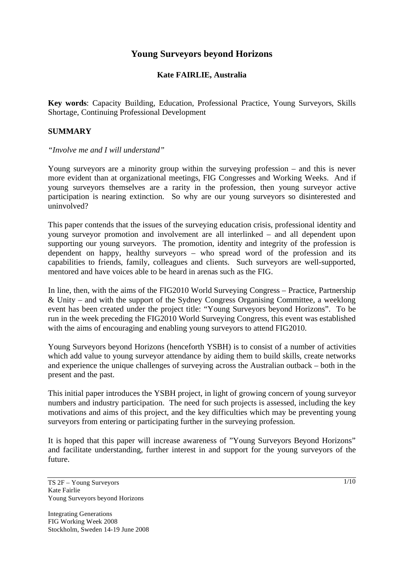# **Young Surveyors beyond Horizons**

### **Kate FAIRLIE, Australia**

**Key words**: Capacity Building, Education, Professional Practice, Young Surveyors, Skills Shortage, Continuing Professional Development

#### **SUMMARY**

*"Involve me and I will understand"* 

Young surveyors are a minority group within the surveying profession – and this is never more evident than at organizational meetings, FIG Congresses and Working Weeks. And if young surveyors themselves are a rarity in the profession, then young surveyor active participation is nearing extinction. So why are our young surveyors so disinterested and uninvolved?

This paper contends that the issues of the surveying education crisis, professional identity and young surveyor promotion and involvement are all interlinked – and all dependent upon supporting our young surveyors. The promotion, identity and integrity of the profession is dependent on happy, healthy surveyors – who spread word of the profession and its capabilities to friends, family, colleagues and clients. Such surveyors are well-supported, mentored and have voices able to be heard in arenas such as the FIG.

In line, then, with the aims of the FIG2010 World Surveying Congress – Practice, Partnership & Unity – and with the support of the Sydney Congress Organising Committee, a weeklong event has been created under the project title: "Young Surveyors beyond Horizons". To be run in the week preceding the FIG2010 World Surveying Congress, this event was established with the aims of encouraging and enabling young surveyors to attend FIG2010.

Young Surveyors beyond Horizons (henceforth YSBH) is to consist of a number of activities which add value to young surveyor attendance by aiding them to build skills, create networks and experience the unique challenges of surveying across the Australian outback – both in the present and the past.

This initial paper introduces the YSBH project, in light of growing concern of young surveyor numbers and industry participation. The need for such projects is assessed, including the key motivations and aims of this project, and the key difficulties which may be preventing young surveyors from entering or participating further in the surveying profession.

It is hoped that this paper will increase awareness of "Young Surveyors Beyond Horizons" and facilitate understanding, further interest in and support for the young surveyors of the future.

TS 2F – Young Surveyors Kate Fairlie Young Surveyors beyond Horizons

Integrating Generations FIG Working Week 2008 Stockholm, Sweden 14-19 June 2008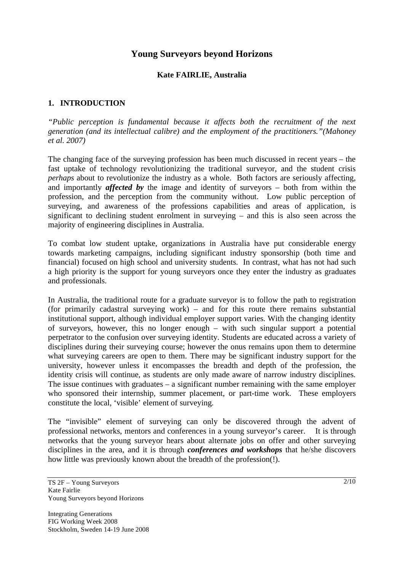# **Young Surveyors beyond Horizons**

#### **Kate FAIRLIE, Australia**

### **1. INTRODUCTION**

*"Public perception is fundamental because it affects both the recruitment of the next generation (and its intellectual calibre) and the employment of the practitioners."(Mahoney et al. 2007)* 

The changing face of the surveying profession has been much discussed in recent years – the fast uptake of technology revolutionizing the traditional surveyor, and the student crisis *perhaps* about to revolutionize the industry as a whole. Both factors are seriously affecting, and importantly *affected by* the image and identity of surveyors – both from within the profession, and the perception from the community without. Low public perception of surveying, and awareness of the professions capabilities and areas of application, is significant to declining student enrolment in surveying – and this is also seen across the majority of engineering disciplines in Australia.

To combat low student uptake, organizations in Australia have put considerable energy towards marketing campaigns, including significant industry sponsorship (both time and financial) focused on high school and university students. In contrast, what has not had such a high priority is the support for young surveyors once they enter the industry as graduates and professionals.

In Australia, the traditional route for a graduate surveyor is to follow the path to registration (for primarily cadastral surveying work) – and for this route there remains substantial institutional support, although individual employer support varies. With the changing identity of surveyors, however, this no longer enough – with such singular support a potential perpetrator to the confusion over surveying identity. Students are educated across a variety of disciplines during their surveying course; however the onus remains upon them to determine what surveying careers are open to them. There may be significant industry support for the university, however unless it encompasses the breadth and depth of the profession, the identity crisis will continue, as students are only made aware of narrow industry disciplines. The issue continues with graduates – a significant number remaining with the same employer who sponsored their internship, summer placement, or part-time work. These employers constitute the local, 'visible' element of surveying.

The "invisible" element of surveying can only be discovered through the advent of professional networks, mentors and conferences in a young surveyor's career. It is through networks that the young surveyor hears about alternate jobs on offer and other surveying disciplines in the area, and it is through *conferences and workshops* that he/she discovers how little was previously known about the breadth of the profession(!).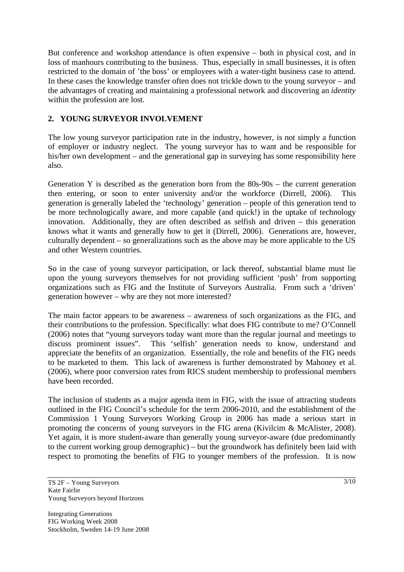But conference and workshop attendance is often expensive – both in physical cost, and in loss of manhours contributing to the business. Thus, especially in small businesses, it is often restricted to the domain of 'the boss' or employees with a water-tight business case to attend. In these cases the knowledge transfer often does not trickle down to the young surveyor – and the advantages of creating and maintaining a professional network and discovering an *identity* within the profession are lost.

## **2. YOUNG SURVEYOR INVOLVEMENT**

The low young surveyor participation rate in the industry, however, is not simply a function of employer or industry neglect. The young surveyor has to want and be responsible for his/her own development – and the generational gap in surveying has some responsibility here also.

Generation Y is described as the generation born from the 80s-90s – the current generation then entering, or soon to enter university and/or the workforce (Dirrell, 2006). This generation is generally labeled the 'technology' generation – people of this generation tend to be more technologically aware, and more capable (and quick!) in the uptake of technology innovation. Additionally, they are often described as selfish and driven – this generation knows what it wants and generally how to get it (Dirrell, 2006). Generations are, however, culturally dependent – so generalizations such as the above may be more applicable to the US and other Western countries.

So in the case of young surveyor participation, or lack thereof, substantial blame must lie upon the young surveyors themselves for not providing sufficient 'push' from supporting organizations such as FIG and the Institute of Surveyors Australia. From such a 'driven' generation however – why are they not more interested?

The main factor appears to be awareness – awareness of such organizations as the FIG, and their contributions to the profession. Specifically: what does FIG contribute to me? O'Connell (2006) notes that "young surveyors today want more than the regular journal and meetings to discuss prominent issues". This 'selfish' generation needs to know, understand and appreciate the benefits of an organization. Essentially, the role and benefits of the FIG needs to be marketed to them. This lack of awareness is further demonstrated by Mahoney et al. (2006), where poor conversion rates from RICS student membership to professional members have been recorded.

The inclusion of students as a major agenda item in FIG, with the issue of attracting students outlined in the FIG Council's schedule for the term 2006-2010, and the establishment of the Commission 1 Young Surveyors Working Group in 2006 has made a serious start in promoting the concerns of young surveyors in the FIG arena (Kivilcim & McAlister, 2008). Yet again, it is more student-aware than generally young surveyor-aware (due predominantly to the current working group demographic) – but the groundwork has definitely been laid with respect to promoting the benefits of FIG to younger members of the profession. It is now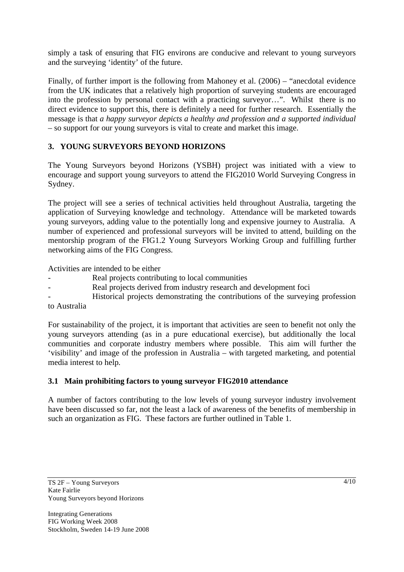simply a task of ensuring that FIG environs are conducive and relevant to young surveyors and the surveying 'identity' of the future.

Finally, of further import is the following from Mahoney et al. (2006) – "anecdotal evidence from the UK indicates that a relatively high proportion of surveying students are encouraged into the profession by personal contact with a practicing surveyor…". Whilst there is no direct evidence to support this, there is definitely a need for further research. Essentially the message is that *a happy surveyor depicts a healthy and profession and a supported individual* – so support for our young surveyors is vital to create and market this image.

## **3. YOUNG SURVEYORS BEYOND HORIZONS**

The Young Surveyors beyond Horizons (YSBH) project was initiated with a view to encourage and support young surveyors to attend the FIG2010 World Surveying Congress in Sydney.

The project will see a series of technical activities held throughout Australia, targeting the application of Surveying knowledge and technology. Attendance will be marketed towards young surveyors, adding value to the potentially long and expensive journey to Australia. A number of experienced and professional surveyors will be invited to attend, building on the mentorship program of the FIG1.2 Young Surveyors Working Group and fulfilling further networking aims of the FIG Congress.

Activities are intended to be either

- Real projects contributing to local communities
- Real projects derived from industry research and development foci
- Historical projects demonstrating the contributions of the surveying profession to Australia

For sustainability of the project, it is important that activities are seen to benefit not only the young surveyors attending (as in a pure educational exercise), but additionally the local communities and corporate industry members where possible. This aim will further the 'visibility' and image of the profession in Australia – with targeted marketing, and potential media interest to help.

### **3.1 Main prohibiting factors to young surveyor FIG2010 attendance**

A number of factors contributing to the low levels of young surveyor industry involvement have been discussed so far, not the least a lack of awareness of the benefits of membership in such an organization as FIG. These factors are further outlined in Table 1.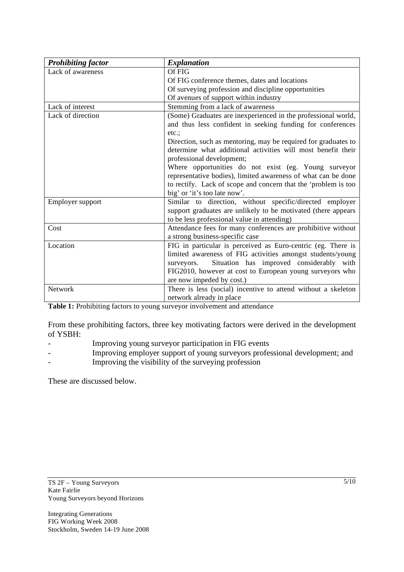| <b>Prohibiting factor</b> | <b>Explanation</b>                                             |
|---------------------------|----------------------------------------------------------------|
| Lack of awareness         | Of FIG                                                         |
|                           | Of FIG conference themes, dates and locations                  |
|                           | Of surveying profession and discipline opportunities           |
|                           | Of avenues of support within industry                          |
| Lack of interest          | Stemming from a lack of awareness                              |
| Lack of direction         | (Some) Graduates are inexperienced in the professional world,  |
|                           | and thus less confident in seeking funding for conferences     |
|                           | etc.:                                                          |
|                           | Direction, such as mentoring, may be required for graduates to |
|                           | determine what additional activities will most benefit their   |
|                           | professional development;                                      |
|                           | Where opportunities do not exist (eg. Young surveyor           |
|                           | representative bodies), limited awareness of what can be done  |
|                           | to rectify. Lack of scope and concern that the 'problem is too |
|                           | big' or 'it's too late now'.                                   |
| Employer support          | Similar to direction, without specific/directed employer       |
|                           | support graduates are unlikely to be motivated (there appears  |
|                           | to be less professional value in attending)                    |
| Cost                      | Attendance fees for many conferences are prohibitive without   |
|                           | a strong business-specific case                                |
| Location                  | FIG in particular is perceived as Euro-centric (eg. There is   |
|                           | limited awareness of FIG activities amongst students/young     |
|                           | Situation has improved considerably with<br>surveyors.         |
|                           | FIG2010, however at cost to European young surveyors who       |
|                           | are now impeded by cost.)                                      |
| Network                   | There is less (social) incentive to attend without a skeleton  |
|                           | network already in place                                       |

Table 1: Prohibiting factors to young surveyor involvement and attendance

From these prohibiting factors, three key motivating factors were derived in the development of YSBH:

- Improving young surveyor participation in FIG events
- Improving employer support of young surveyors professional development; and
- Improving the visibility of the surveying profession

These are discussed below.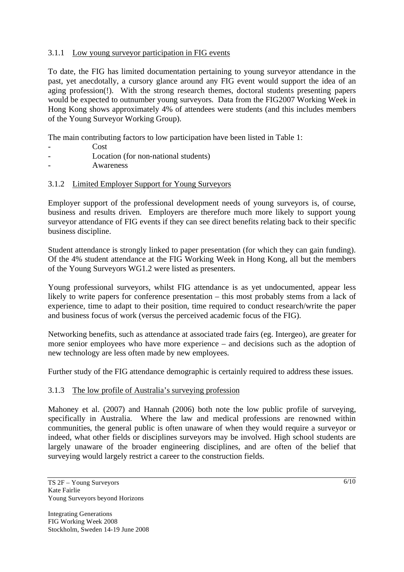## 3.1.1 Low young surveyor participation in FIG events

To date, the FIG has limited documentation pertaining to young surveyor attendance in the past, yet anecdotally, a cursory glance around any FIG event would support the idea of an aging profession(!). With the strong research themes, doctoral students presenting papers would be expected to outnumber young surveyors. Data from the FIG2007 Working Week in Hong Kong shows approximately 4% of attendees were students (and this includes members of the Young Surveyor Working Group).

The main contributing factors to low participation have been listed in Table 1:

- Cost
- Location (for non-national students)
- **Awareness**

### 3.1.2 Limited Employer Support for Young Surveyors

Employer support of the professional development needs of young surveyors is, of course, business and results driven. Employers are therefore much more likely to support young surveyor attendance of FIG events if they can see direct benefits relating back to their specific business discipline.

Student attendance is strongly linked to paper presentation (for which they can gain funding). Of the 4% student attendance at the FIG Working Week in Hong Kong, all but the members of the Young Surveyors WG1.2 were listed as presenters.

Young professional surveyors, whilst FIG attendance is as yet undocumented, appear less likely to write papers for conference presentation – this most probably stems from a lack of experience, time to adapt to their position, time required to conduct research/write the paper and business focus of work (versus the perceived academic focus of the FIG).

Networking benefits, such as attendance at associated trade fairs (eg. Intergeo), are greater for more senior employees who have more experience – and decisions such as the adoption of new technology are less often made by new employees.

Further study of the FIG attendance demographic is certainly required to address these issues.

### 3.1.3 The low profile of Australia's surveying profession

Mahoney et al. (2007) and Hannah (2006) both note the low public profile of surveying, specifically in Australia. Where the law and medical professions are renowned within communities, the general public is often unaware of when they would require a surveyor or indeed, what other fields or disciplines surveyors may be involved. High school students are largely unaware of the broader engineering disciplines, and are often of the belief that surveying would largely restrict a career to the construction fields.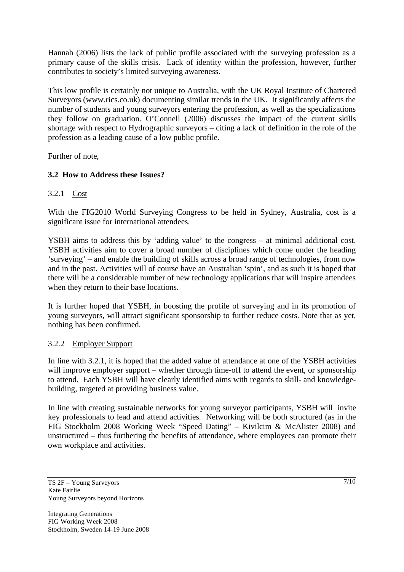Hannah (2006) lists the lack of public profile associated with the surveying profession as a primary cause of the skills crisis. Lack of identity within the profession, however, further contributes to society's limited surveying awareness.

This low profile is certainly not unique to Australia, with the UK Royal Institute of Chartered Surveyors (www.rics.co.uk) documenting similar trends in the UK. It significantly affects the number of students and young surveyors entering the profession, as well as the specializations they follow on graduation. O'Connell (2006) discusses the impact of the current skills shortage with respect to Hydrographic surveyors – citing a lack of definition in the role of the profession as a leading cause of a low public profile.

Further of note,

## **3.2 How to Address these Issues?**

### 3.2.1 Cost

With the FIG2010 World Surveying Congress to be held in Sydney, Australia, cost is a significant issue for international attendees.

YSBH aims to address this by 'adding value' to the congress – at minimal additional cost. YSBH activities aim to cover a broad number of disciplines which come under the heading 'surveying' – and enable the building of skills across a broad range of technologies, from now and in the past. Activities will of course have an Australian 'spin', and as such it is hoped that there will be a considerable number of new technology applications that will inspire attendees when they return to their base locations.

It is further hoped that YSBH, in boosting the profile of surveying and in its promotion of young surveyors, will attract significant sponsorship to further reduce costs. Note that as yet, nothing has been confirmed.

### 3.2.2 Employer Support

In line with 3.2.1, it is hoped that the added value of attendance at one of the YSBH activities will improve employer support – whether through time-off to attend the event, or sponsorship to attend. Each YSBH will have clearly identified aims with regards to skill- and knowledgebuilding, targeted at providing business value.

In line with creating sustainable networks for young surveyor participants, YSBH will invite key professionals to lead and attend activities. Networking will be both structured (as in the FIG Stockholm 2008 Working Week "Speed Dating" – Kivilcim & McAlister 2008) and unstructured – thus furthering the benefits of attendance, where employees can promote their own workplace and activities.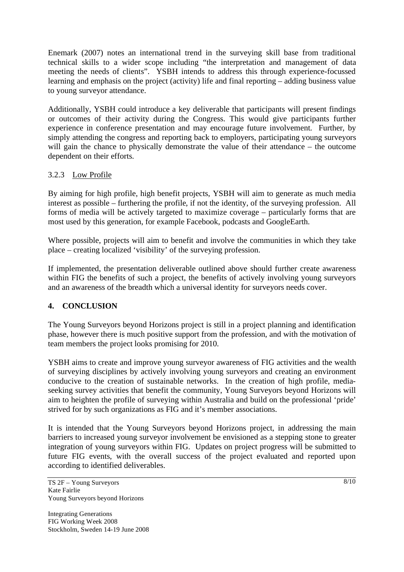Enemark (2007) notes an international trend in the surveying skill base from traditional technical skills to a wider scope including "the interpretation and management of data meeting the needs of clients". YSBH intends to address this through experience-focussed learning and emphasis on the project (activity) life and final reporting – adding business value to young surveyor attendance.

Additionally, YSBH could introduce a key deliverable that participants will present findings or outcomes of their activity during the Congress. This would give participants further experience in conference presentation and may encourage future involvement. Further, by simply attending the congress and reporting back to employers, participating young surveyors will gain the chance to physically demonstrate the value of their attendance – the outcome dependent on their efforts.

## 3.2.3 Low Profile

By aiming for high profile, high benefit projects, YSBH will aim to generate as much media interest as possible – furthering the profile, if not the identity, of the surveying profession. All forms of media will be actively targeted to maximize coverage – particularly forms that are most used by this generation, for example Facebook, podcasts and GoogleEarth.

Where possible, projects will aim to benefit and involve the communities in which they take place – creating localized 'visibility' of the surveying profession.

If implemented, the presentation deliverable outlined above should further create awareness within FIG the benefits of such a project, the benefits of actively involving young surveyors and an awareness of the breadth which a universal identity for surveyors needs cover.

## **4. CONCLUSION**

The Young Surveyors beyond Horizons project is still in a project planning and identification phase, however there is much positive support from the profession, and with the motivation of team members the project looks promising for 2010.

YSBH aims to create and improve young surveyor awareness of FIG activities and the wealth of surveying disciplines by actively involving young surveyors and creating an environment conducive to the creation of sustainable networks. In the creation of high profile, mediaseeking survey activities that benefit the community, Young Surveyors beyond Horizons will aim to heighten the profile of surveying within Australia and build on the professional 'pride' strived for by such organizations as FIG and it's member associations.

It is intended that the Young Surveyors beyond Horizons project, in addressing the main barriers to increased young surveyor involvement be envisioned as a stepping stone to greater integration of young surveyors within FIG. Updates on project progress will be submitted to future FIG events, with the overall success of the project evaluated and reported upon according to identified deliverables.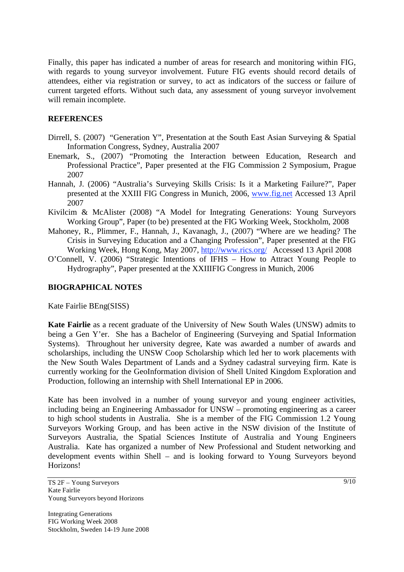Finally, this paper has indicated a number of areas for research and monitoring within FIG, with regards to young surveyor involvement. Future FIG events should record details of attendees, either via registration or survey, to act as indicators of the success or failure of current targeted efforts. Without such data, any assessment of young surveyor involvement will remain incomplete.

#### **REFERENCES**

- Dirrell, S. (2007) "Generation Y", Presentation at the South East Asian Surveying & Spatial Information Congress, Sydney, Australia 2007
- Enemark, S., (2007) "Promoting the Interaction between Education, Research and Professional Practice", Paper presented at the FIG Commission 2 Symposium, Prague 2007
- Hannah, J. (2006) "Australia's Surveying Skills Crisis: Is it a Marketing Failure?", Paper presented at the XXIII FIG Congress in Munich, 2006, www.fig.net Accessed 13 April 2007
- Kivilcim & McAlister (2008) "A Model for Integrating Generations: Young Surveyors Working Group", Paper (to be) presented at the FIG Working Week, Stockholm, 2008
- Mahoney, R., Plimmer, F., Hannah, J., Kavanagh, J., (2007) "Where are we heading? The Crisis in Surveying Education and a Changing Profession", Paper presented at the FIG Working Week, Hong Kong, May 2007, http://www.rics.org/ Accessed 13 April 2008
- O'Connell, V. (2006) "Strategic Intentions of IFHS How to Attract Young People to Hydrography", Paper presented at the XXIIIFIG Congress in Munich, 2006

#### **BIOGRAPHICAL NOTES**

Kate Fairlie BEng(SISS)

**Kate Fairlie** as a recent graduate of the University of New South Wales (UNSW) admits to being a Gen Y'er. She has a Bachelor of Engineering (Surveying and Spatial Information Systems). Throughout her university degree, Kate was awarded a number of awards and scholarships, including the UNSW Coop Scholarship which led her to work placements with the New South Wales Department of Lands and a Sydney cadastral surveying firm. Kate is currently working for the GeoInformation division of Shell United Kingdom Exploration and Production, following an internship with Shell International EP in 2006.

Kate has been involved in a number of young surveyor and young engineer activities, including being an Engineering Ambassador for UNSW – promoting engineering as a career to high school students in Australia. She is a member of the FIG Commission 1.2 Young Surveyors Working Group, and has been active in the NSW division of the Institute of Surveyors Australia, the Spatial Sciences Institute of Australia and Young Engineers Australia. Kate has organized a number of New Professional and Student networking and development events within Shell – and is looking forward to Young Surveyors beyond Horizons!

TS 2F – Young Surveyors Kate Fairlie Young Surveyors beyond Horizons

Integrating Generations FIG Working Week 2008 Stockholm, Sweden 14-19 June 2008